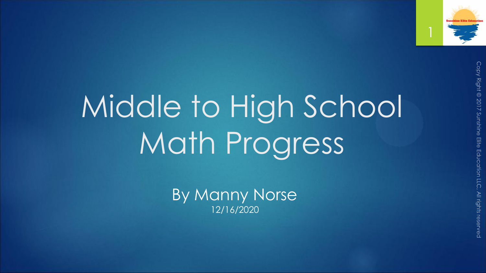

Middle to High School Math Progress

> By Manny Norse 12/16/2020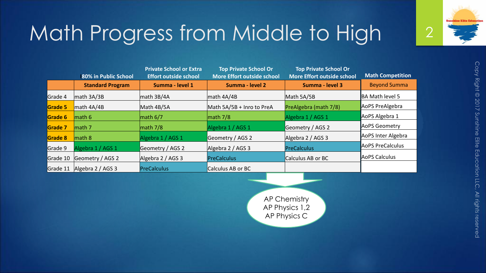

|                | 180% in Public School   | <b>Private School or Extra</b><br><b>Effort outside school</b> | <b>Top Private School Or</b><br><b>More Effort outside school</b> | <b>Top Private School Or</b><br><b>More Effort outside school</b> | <b>Math Competition</b> |
|----------------|-------------------------|----------------------------------------------------------------|-------------------------------------------------------------------|-------------------------------------------------------------------|-------------------------|
|                | <b>Standard Program</b> | Summa - level 1                                                | Summa - level 2                                                   | Summa - level 3                                                   | <b>Beyond Summa</b>     |
| Grade 4        | $\vert$ math 3A/3B      | $\vert$ math 3B/4A                                             | $\vert$ math 4A/4B                                                | Math 5A/5B                                                        | BA Math level 5         |
| Grade 5        | math 4A/4B              | Math 4B/5A                                                     | Math 5A/5B + Inro to PreA                                         | PreAlgebra (math 7/8)                                             | AoPS PreAlgebra         |
| Grade 6        | $l$ math 6              | $\ln$ ath 6/7                                                  | $\vert$ math 7/8                                                  | Algebra 1 / AGS 1                                                 | AoPS Algebra 1          |
| Grade 7        | math 7                  | $\vert$ math 7/8                                               | Algebra 1 / AGS 1                                                 | Geometry / AGS 2                                                  | AoPS Geometry           |
| <b>Grade 8</b> | $l$ math 8              | Algebra 1 / AGS 1                                              | Geometry / AGS 2                                                  | Algebra 2 / AGS 3                                                 | AoPS Inter Algebra      |
| Grade 9        | Algebra 1 / AGS 1       | Geometry / AGS 2                                               | Algebra 2 / AGS 3                                                 | PreCalculus                                                       | AOPS PreCalculus        |
| Grade 10       | Geometry / AGS 2        | Algebra 2 / AGS 3                                              | PreCalculus                                                       | Calculus AB or BC                                                 | AoPS Calculus           |
| Grade 11       | Algebra 2 / AGS 3       | PreCalculus                                                    | Calculus AB or BC                                                 |                                                                   |                         |

AP Chemistry AP Physics 1,2 AP Physics C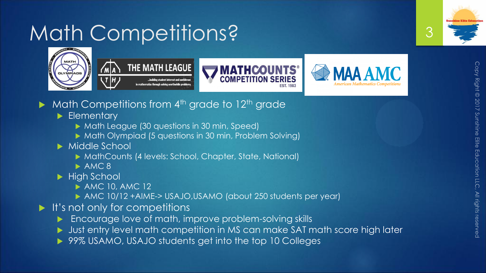## Math Competitions?









- Math Competitions from 4<sup>th</sup> grade to 12<sup>th</sup> grade
	- Elementary
		- ▶ Math League (30 questions in 30 min, Speed)
		- ▶ Math Olympiad (5 questions in 30 min, Problem Solving)
	- ▶ Middle School
		- ▶ MathCounts (4 levels: School, Chapter, State, National)
		- $\triangleright$  AMC 8
	- High School
		- **AMC 10, AMC 12**
		- AMC 10/12 +AIME-> USAJO,USAMO (about 250 students per year)
- $\blacktriangleright$  It's not only for competitions
	- Encourage love of math, improve problem-solving skills
	- Ust entry level math competition in MS can make SAT math score high later
	- ▶ 99% USAMO, USAJO students get into the top 10 Colleges

3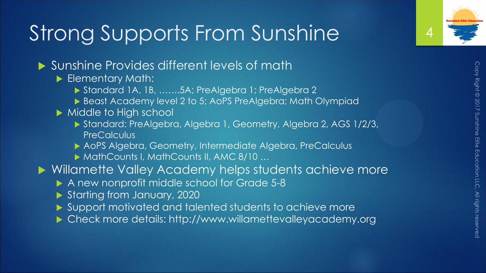## Strong Supports From Sunshine

- ▶ Sunshine Provides different levels of math
	- Elementary Math:
		- Standard 1A, 1B, …….5A; PreAlgebra 1; PreAlgebra 2
		- ▶ Beast Academy level 2 to 5; AoPS PreAlgebra; Math Olympiad
	- Middle to High school
		- Standard: PreAlgebra, Algebra 1, Geometry, Algebra 2, AGS 1/2/3, **PreCalculus**
		- AoPS Algebra, Geometry, Intermediate Algebra, PreCalculus
		- ▶ MathCounts I, MathCounts II, AMC 8/10 ...
- ▶ Willamette Valley Academy helps students achieve more
	- A new nonprofit middle school for Grade 5-8
	- Starting from January, 2020
	- Support motivated and talented students to achieve more
	- Check more details: http://www.willamettevalleyacademy.org

4